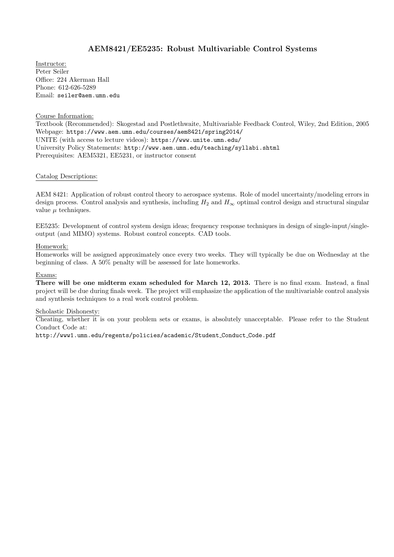# AEM8421/EE5235: Robust Multivariable Control Systems

Instructor: Peter Seiler Office: 224 Akerman Hall Phone: 612-626-5289 Email: seiler@aem.umn.edu

#### Course Information:

Textbook (Recommended): Skogestad and Postlethwaite, Multivariable Feedback Control, Wiley, 2nd Edition, 2005 Webpage: https://www.aem.umn.edu/courses/aem8421/spring2014/ UNITE (with access to lecture videos): https://www.unite.umn.edu/ University Policy Statements: http://www.aem.umn.edu/teaching/syllabi.shtml Prerequisites: AEM5321, EE5231, or instructor consent

#### Catalog Descriptions:

AEM 8421: Application of robust control theory to aerospace systems. Role of model uncertainty/modeling errors in design process. Control analysis and synthesis, including  $H_2$  and  $H_\infty$  optimal control design and structural singular value  $\mu$  techniques.

EE5235: Development of control system design ideas; frequency response techniques in design of single-input/singleoutput (and MIMO) systems. Robust control concepts. CAD tools.

#### Homework:

Homeworks will be assigned approximately once every two weeks. They will typically be due on Wednesday at the beginning of class. A 50% penalty will be assessed for late homeworks.

## Exams:

There will be one midterm exam scheduled for March 12, 2013. There is no final exam. Instead, a final project will be due during finals week. The project will emphasize the application of the multivariable control analysis and synthesis techniques to a real work control problem.

#### Scholastic Dishonesty:

Cheating, whether it is on your problem sets or exams, is absolutely unacceptable. Please refer to the Student Conduct Code at:

http://www1.umn.edu/regents/policies/academic/Student Conduct Code.pdf